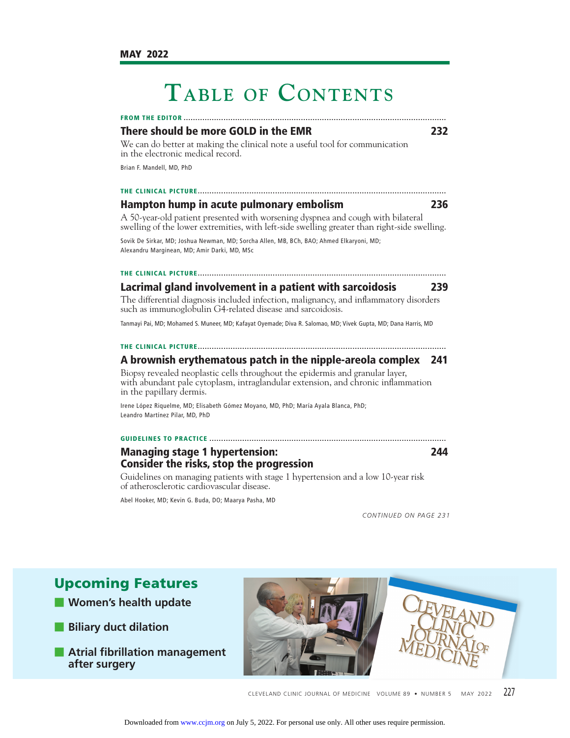# **TABLE OF CONTENTS**

**FROM THE EDITOR ................................................................................................................**

# **There should be more GOLD in the EMR 232**

We can do better at making the clinical note a useful tool for communication in the electronic medical record.

Brian F. Mandell, MD, PhD

# **THE CLINICAL PICTURE ..........................................................................................................**

**Hampton hump in acute pulmonary embolism 236** A 50-year-old patient presented with worsening dyspnea and cough with bilateral swelling of the lower extremities, with left-side swelling greater than right-side swelling.

Sovik De Sirkar, MD; Joshua Newman, MD; Sorcha Allen, MB, BCh, BAO; Ahmed Elkaryoni, MD; Alexandru Marginean, MD; Amir Darki, MD, MSc

### **THE CLINICAL PICTURE ..........................................................................................................**

# **Lacrimal gland involvement in a patient with sarcoidosis 239**

The differential diagnosis included infection, malignancy, and inflammatory disorders such as immunoglobulin G4-related disease and sarcoidosis.

Tanmayi Pai, MD; Mohamed S. Muneer, MD; Kafayat Oyemade; Diva R. Salomao, MD; Vivek Gupta, MD; Dana Harris, MD

# **THE CLINICAL PICTURE ..........................................................................................................**

# **A brownish erythematous patch in the nipple-areola complex 241**

Biopsy revealed neoplastic cells throughout the epidermis and granular layer, with abundant pale cytoplasm, intraglandular extension, and chronic inflammation in the papillary dermis.

Irene López Riquelme, MD; Elisabeth Gómez Moyano, MD, PhD; María Ayala Blanca, PhD; Leandro Martínez Pilar, MD, PhD

### **GUIDELINES TO PRACTICE .....................................................................................................**

# **Managing stage 1 hypertension: 244 Consider the risks, stop the progression**

Guidelines on managing patients with stage 1 hypertension and a low 10-year risk of atherosclerotic cardiovascular disease.

Abel Hooker, MD; Kevin G. Buda, DO; Maarya Pasha, MD

*CONTINUED ON PAGE 231*

- **Women's health update**
- **Biliary duct dilation**
- **Atrial fibrillation management after surgery**



CLEVELAND CLINIC JOURNAL OF MEDICINE VOLUME 89 • NUMBER 5 MAY 2022 227